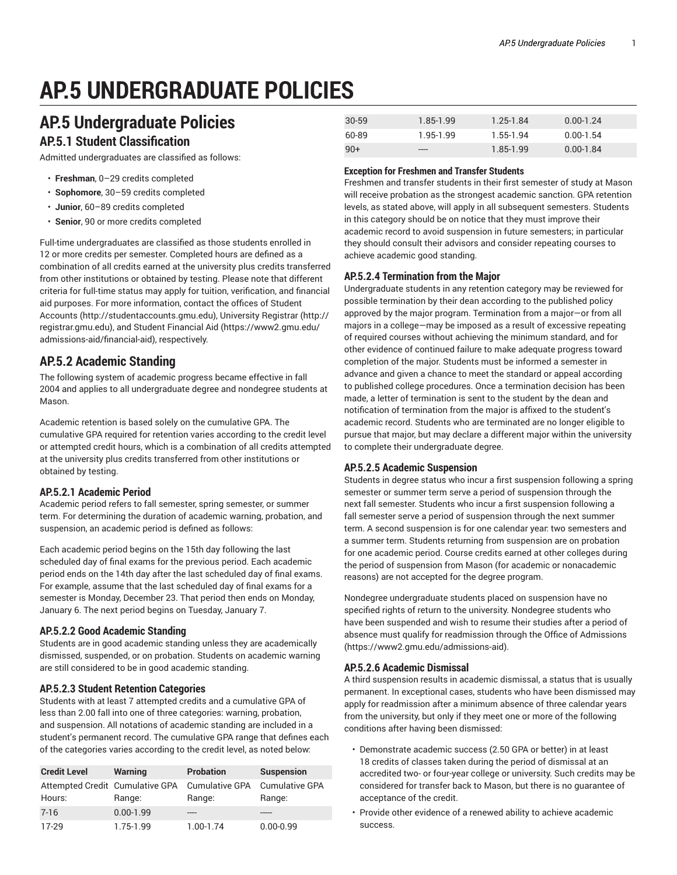# **AP.5 UNDERGRADUATE POLICIES**

## **AP.5 Undergraduate Policies**

## **AP.5.1 Student Classification**

Admitted undergraduates are classified as follows:

- **Freshman**, 0–29 credits completed
- **Sophomore**, 30–59 credits completed
- **Junior**, 60–89 credits completed
- **Senior**, 90 or more credits completed

Full-time undergraduates are classified as those students enrolled in 12 or more credits per semester. Completed hours are defined as a combination of all credits earned at the university plus credits transferred from other institutions or obtained by testing. Please note that different criteria for full-time status may apply for tuition, verification, and financial aid purposes. For more information, contact the offices of Student Accounts (http://studentaccounts.gmu.edu), University Registrar (http:// registrar.gmu.edu), and Student Financial Aid (https://www2.gmu.edu/ admissions-aid/financial-aid), respectively.

## **AP.5.2 Academic Standing**

The following system of academic progress became effective in fall 2004 and applies to all undergraduate degree and nondegree students at Mason.

Academic retention is based solely on the cumulative GPA. The cumulative GPA required for retention varies according to the credit level or attempted credit hours, which is a combination of all credits attempted at the university plus credits transferred from other institutions or obtained by testing.

## **AP.5.2.1 Academic Period**

Academic period refers to fall semester, spring semester, or summer term. For determining the duration of academic warning, probation, and suspension, an academic period is defined as follows:

Each academic period begins on the 15th day following the last scheduled day of final exams for the previous period. Each academic period ends on the 14th day after the last scheduled day of final exams. For example, assume that the last scheduled day of final exams for a semester is Monday, December 23. That period then ends on Monday, January 6. The next period begins on Tuesday, January 7.

## **AP.5.2.2 Good Academic Standing**

Students are in good academic standing unless they are academically dismissed, suspended, or on probation. Students on academic warning are still considered to be in good academic standing.

## **AP.5.2.3 Student Retention Categories**

Students with at least 7 attempted credits and a cumulative GPA of less than 2.00 fall into one of three categories: warning, probation, and suspension. All notations of academic standing are included in a student's permanent record. The cumulative GPA range that defines each of the categories varies according to the credit level, as noted below:

| <b>Credit Level</b>                       | <b>Warning</b> | <b>Probation</b>                | <b>Suspension</b>               |
|-------------------------------------------|----------------|---------------------------------|---------------------------------|
| Attempted Credit Cumulative GPA<br>Hours: | Range:         | <b>Cumulative GPA</b><br>Range: | <b>Cumulative GPA</b><br>Range: |
| $7 - 16$                                  | $0.00 - 1.99$  |                                 |                                 |
| 17-29                                     | 1.75-1.99      | 1.00-1.74                       | $0.00 - 0.99$                   |

| $30 - 59$ | 1.85-1.99 | 1.25-1.84 | $0.00 - 1.24$ |
|-----------|-----------|-----------|---------------|
| 60-89     | 1.95-1.99 | 1.55-1.94 | $0.00 - 1.54$ |
| $90+$     | -----     | 1.85-1.99 | $0.00 - 1.84$ |

## **Exception for Freshmen and Transfer Students**

Freshmen and transfer students in their first semester of study at Mason will receive probation as the strongest academic sanction. GPA retention levels, as stated above, will apply in all subsequent semesters. Students in this category should be on notice that they must improve their academic record to avoid suspension in future semesters; in particular they should consult their advisors and consider repeating courses to achieve academic good standing.

## **AP.5.2.4 Termination from the Major**

Undergraduate students in any retention category may be reviewed for possible termination by their dean according to the published policy approved by the major program. Termination from a major—or from all majors in a college—may be imposed as a result of excessive repeating of required courses without achieving the minimum standard, and for other evidence of continued failure to make adequate progress toward completion of the major. Students must be informed a semester in advance and given a chance to meet the standard or appeal according to published college procedures. Once a termination decision has been made, a letter of termination is sent to the student by the dean and notification of termination from the major is affixed to the student's academic record. Students who are terminated are no longer eligible to pursue that major, but may declare a different major within the university to complete their undergraduate degree.

## **AP.5.2.5 Academic Suspension**

Students in degree status who incur a first suspension following a spring semester or summer term serve a period of suspension through the next fall semester. Students who incur a first suspension following a fall semester serve a period of suspension through the next summer term. A second suspension is for one calendar year: two semesters and a summer term. Students returning from suspension are on probation for one academic period. Course credits earned at other colleges during the period of suspension from Mason (for academic or nonacademic reasons) are not accepted for the degree program.

Nondegree undergraduate students placed on suspension have no specified rights of return to the university. Nondegree students who have been suspended and wish to resume their studies after a period of absence must qualify for readmission through the Office of Admissions (https://www2.gmu.edu/admissions-aid).

## **AP.5.2.6 Academic Dismissal**

A third suspension results in academic dismissal, a status that is usually permanent. In exceptional cases, students who have been dismissed may apply for readmission after a minimum absence of three calendar years from the university, but only if they meet one or more of the following conditions after having been dismissed:

- Demonstrate academic success (2.50 GPA or better) in at least 18 credits of classes taken during the period of dismissal at an accredited two- or four-year college or university. Such credits may be considered for transfer back to Mason, but there is no guarantee of acceptance of the credit.
- Provide other evidence of a renewed ability to achieve academic success.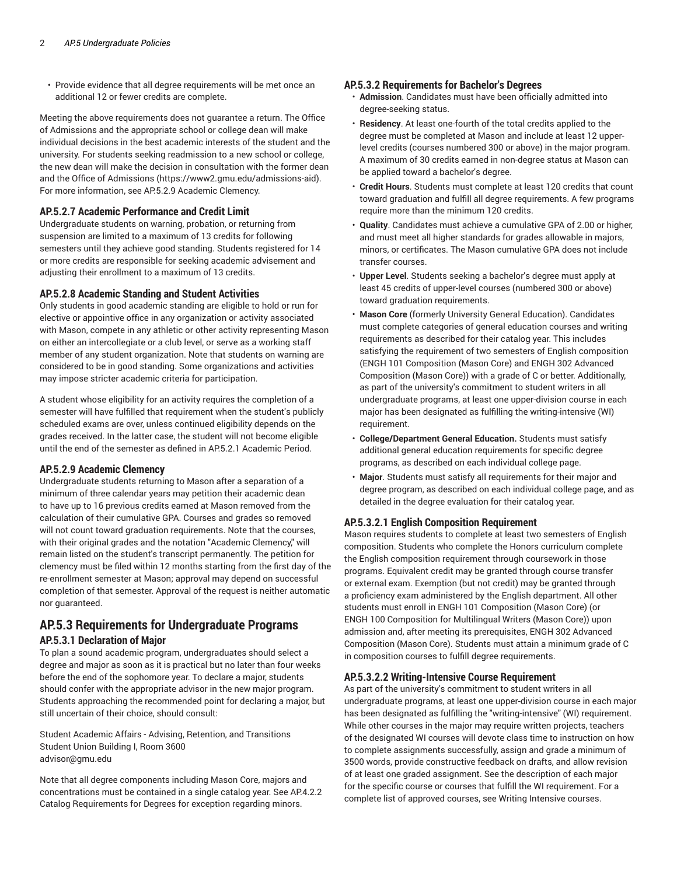• Provide evidence that all degree requirements will be met once an additional 12 or fewer credits are complete.

Meeting the above requirements does not guarantee a return. The Office of Admissions and the appropriate school or college dean will make individual decisions in the best academic interests of the student and the university. For students seeking readmission to a new school or college, the new dean will make the decision in consultation with the former dean and the Office of Admissions (https://www2.gmu.edu/admissions-aid). For more information, see AP.5.2.9 Academic Clemency.

## **AP.5.2.7 Academic Performance and Credit Limit**

Undergraduate students on warning, probation, or returning from suspension are limited to a maximum of 13 credits for following semesters until they achieve good standing. Students registered for 14 or more credits are responsible for seeking academic advisement and adjusting their enrollment to a maximum of 13 credits.

## **AP.5.2.8 Academic Standing and Student Activities**

Only students in good academic standing are eligible to hold or run for elective or appointive office in any organization or activity associated with Mason, compete in any athletic or other activity representing Mason on either an intercollegiate or a club level, or serve as a working staff member of any student organization. Note that students on warning are considered to be in good standing. Some organizations and activities may impose stricter academic criteria for participation.

A student whose eligibility for an activity requires the completion of a semester will have fulfilled that requirement when the student's publicly scheduled exams are over, unless continued eligibility depends on the grades received. In the latter case, the student will not become eligible until the end of the semester as defined in AP.5.2.1 Academic Period.

## **AP.5.2.9 Academic Clemency**

Undergraduate students returning to Mason after a separation of a minimum of three calendar years may petition their academic dean to have up to 16 previous credits earned at Mason removed from the calculation of their cumulative GPA. Courses and grades so removed will not count toward graduation requirements. Note that the courses, with their original grades and the notation "Academic Clemency," will remain listed on the student's transcript permanently. The petition for clemency must be filed within 12 months starting from the first day of the re-enrollment semester at Mason; approval may depend on successful completion of that semester. Approval of the request is neither automatic nor guaranteed.

## **AP.5.3 Requirements for Undergraduate Programs AP.5.3.1 Declaration of Major**

To plan a sound academic program, undergraduates should select a degree and major as soon as it is practical but no later than four weeks before the end of the sophomore year. To declare a major, students should confer with the appropriate advisor in the new major program. Students approaching the recommended point for declaring a major, but still uncertain of their choice, should consult:

Student Academic Affairs - Advising, Retention, and Transitions Student Union Building I, Room 3600 advisor@gmu.edu

Note that all degree components including Mason Core, majors and concentrations must be contained in a single catalog year. See AP.4.2.2 Catalog Requirements for Degrees for exception regarding minors.

## **AP.5.3.2 Requirements for Bachelor's Degrees**

- **Admission**. Candidates must have been officially admitted into degree-seeking status.
- **Residency**. At least one-fourth of the total credits applied to the degree must be completed at Mason and include at least 12 upperlevel credits (courses numbered 300 or above) in the major program. A maximum of 30 credits earned in non-degree status at Mason can be applied toward a bachelor's degree.
- **Credit Hours**. Students must complete at least 120 credits that count toward graduation and fulfill all degree requirements. A few programs require more than the minimum 120 credits.
- **Quality**. Candidates must achieve a cumulative GPA of 2.00 or higher, and must meet all higher standards for grades allowable in majors, minors, or certificates. The Mason cumulative GPA does not include transfer courses.
- **Upper Level**. Students seeking a bachelor's degree must apply at least 45 credits of upper-level courses (numbered 300 or above) toward graduation requirements.
- **Mason Core** (formerly University General Education). Candidates must complete categories of general education courses and writing requirements as described for their catalog year. This includes satisfying the requirement of two semesters of English composition (ENGH 101 Composition (Mason Core) and ENGH 302 Advanced Composition (Mason Core)) with a grade of C or better. Additionally, as part of the university's commitment to student writers in all undergraduate programs, at least one upper-division course in each major has been designated as fulfilling the writing-intensive (WI) requirement.
- **College/Department General Education.** Students must satisfy additional general education requirements for specific degree programs, as described on each individual college page.
- **Major**. Students must satisfy all requirements for their major and degree program, as described on each individual college page, and as detailed in the degree evaluation for their catalog year.

## **AP.5.3.2.1 English Composition Requirement**

Mason requires students to complete at least two semesters of English composition. Students who complete the Honors curriculum complete the English composition requirement through coursework in those programs. Equivalent credit may be granted through course transfer or external exam. Exemption (but not credit) may be granted through a proficiency exam administered by the English department. All other students must enroll in ENGH 101 Composition (Mason Core) (or ENGH 100 Composition for Multilingual Writers (Mason Core)) upon admission and, after meeting its prerequisites, ENGH 302 Advanced Composition (Mason Core). Students must attain a minimum grade of C in composition courses to fulfill degree requirements.

## **AP.5.3.2.2 Writing-Intensive Course Requirement**

As part of the university's commitment to student writers in all undergraduate programs, at least one upper-division course in each major has been designated as fulfilling the "writing-intensive" (WI) requirement. While other courses in the major may require written projects, teachers of the designated WI courses will devote class time to instruction on how to complete assignments successfully, assign and grade a minimum of 3500 words, provide constructive feedback on drafts, and allow revision of at least one graded assignment. See the description of each major for the specific course or courses that fulfill the WI requirement. For a complete list of approved courses, see Writing Intensive courses.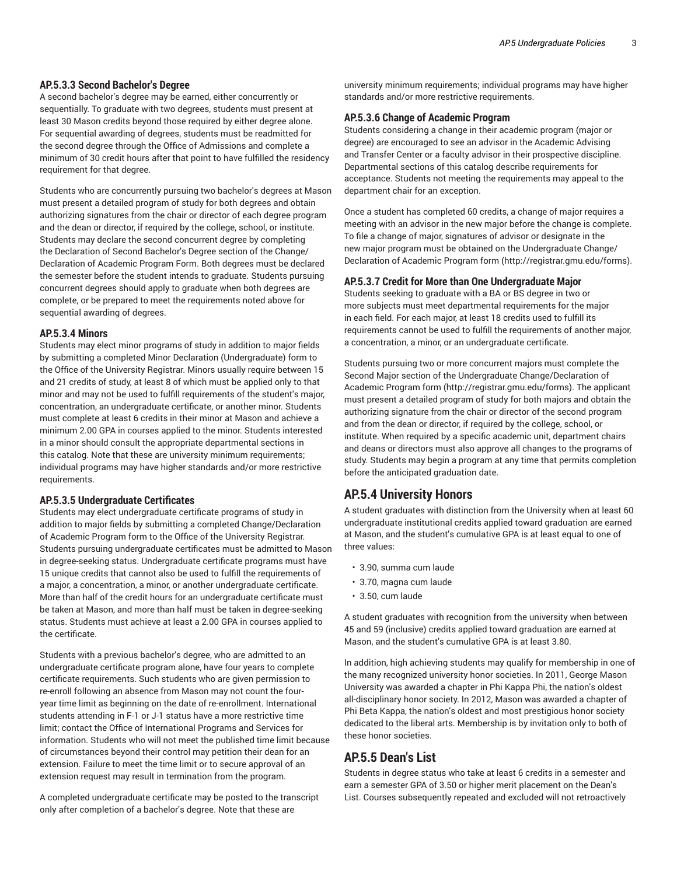## **AP.5.3.3 Second Bachelor's Degree**

A second bachelor's degree may be earned, either concurrently or sequentially. To graduate with two degrees, students must present at least 30 Mason credits beyond those required by either degree alone. For sequential awarding of degrees, students must be readmitted for the second degree through the Office of Admissions and complete a minimum of 30 credit hours after that point to have fulfilled the residency requirement for that degree.

Students who are concurrently pursuing two bachelor's degrees at Mason must present a detailed program of study for both degrees and obtain authorizing signatures from the chair or director of each degree program and the dean or director, if required by the college, school, or institute. Students may declare the second concurrent degree by completing the Declaration of Second Bachelor's Degree section of the Change/ Declaration of Academic Program Form. Both degrees must be declared the semester before the student intends to graduate. Students pursuing concurrent degrees should apply to graduate when both degrees are complete, or be prepared to meet the requirements noted above for sequential awarding of degrees.

#### **AP.5.3.4 Minors**

Students may elect minor programs of study in addition to major fields by submitting a completed Minor Declaration (Undergraduate) form to the Office of the University Registrar. Minors usually require between 15 and 21 credits of study, at least 8 of which must be applied only to that minor and may not be used to fulfill requirements of the student's major, concentration, an undergraduate certificate, or another minor. Students must complete at least 6 credits in their minor at Mason and achieve a minimum 2.00 GPA in courses applied to the minor. Students interested in a minor should consult the appropriate departmental sections in this catalog. Note that these are university minimum requirements; individual programs may have higher standards and/or more restrictive requirements.

#### **AP.5.3.5 Undergraduate Certificates**

Students may elect undergraduate certificate programs of study in addition to major fields by submitting a completed Change/Declaration of Academic Program form to the Office of the University Registrar. Students pursuing undergraduate certificates must be admitted to Mason in degree-seeking status. Undergraduate certificate programs must have 15 unique credits that cannot also be used to fulfill the requirements of a major, a concentration, a minor, or another undergraduate certificate. More than half of the credit hours for an undergraduate certificate must be taken at Mason, and more than half must be taken in degree-seeking status. Students must achieve at least a 2.00 GPA in courses applied to the certificate.

Students with a previous bachelor's degree, who are admitted to an undergraduate certificate program alone, have four years to complete certificate requirements. Such students who are given permission to re-enroll following an absence from Mason may not count the fouryear time limit as beginning on the date of re-enrollment. International students attending in F-1 or J-1 status have a more restrictive time limit; contact the Office of International Programs and Services for information. Students who will not meet the published time limit because of circumstances beyond their control may petition their dean for an extension. Failure to meet the time limit or to secure approval of an extension request may result in termination from the program.

A completed undergraduate certificate may be posted to the transcript only after completion of a bachelor's degree. Note that these are

university minimum requirements; individual programs may have higher standards and/or more restrictive requirements.

#### **AP.5.3.6 Change of Academic Program**

Students considering a change in their academic program (major or degree) are encouraged to see an advisor in the Academic Advising and Transfer Center or a faculty advisor in their prospective discipline. Departmental sections of this catalog describe requirements for acceptance. Students not meeting the requirements may appeal to the department chair for an exception.

Once a student has completed 60 credits, a change of major requires a meeting with an advisor in the new major before the change is complete. To file a change of major, signatures of advisor or designate in the new major program must be obtained on the Undergraduate Change/ Declaration of Academic Program form (http://registrar.gmu.edu/forms).

#### **AP.5.3.7 Credit for More than One Undergraduate Major**

Students seeking to graduate with a BA or BS degree in two or more subjects must meet departmental requirements for the major in each field. For each major, at least 18 credits used to fulfill its requirements cannot be used to fulfill the requirements of another major, a concentration, a minor, or an undergraduate certificate.

Students pursuing two or more concurrent majors must complete the Second Major section of the Undergraduate Change/Declaration of Academic Program form (http://registrar.gmu.edu/forms). The applicant must present a detailed program of study for both majors and obtain the authorizing signature from the chair or director of the second program and from the dean or director, if required by the college, school, or institute. When required by a specific academic unit, department chairs and deans or directors must also approve all changes to the programs of study. Students may begin a program at any time that permits completion before the anticipated graduation date.

## **AP.5.4 University Honors**

A student graduates with distinction from the University when at least 60 undergraduate institutional credits applied toward graduation are earned at Mason, and the student's cumulative GPA is at least equal to one of three values:

- 3.90, summa cum laude
- 3.70, magna cum laude
- 3.50, cum laude

A student graduates with recognition from the university when between 45 and 59 (inclusive) credits applied toward graduation are earned at Mason, and the student's cumulative GPA is at least 3.80.

In addition, high achieving students may qualify for membership in one of the many recognized university honor societies. In 2011, George Mason University was awarded a chapter in Phi Kappa Phi, the nation's oldest all-disciplinary honor society. In 2012, Mason was awarded a chapter of Phi Beta Kappa, the nation's oldest and most prestigious honor society dedicated to the liberal arts. Membership is by invitation only to both of these honor societies.

## **AP.5.5 Dean's List**

Students in degree status who take at least 6 credits in a semester and earn a semester GPA of 3.50 or higher merit placement on the Dean's List. Courses subsequently repeated and excluded will not retroactively